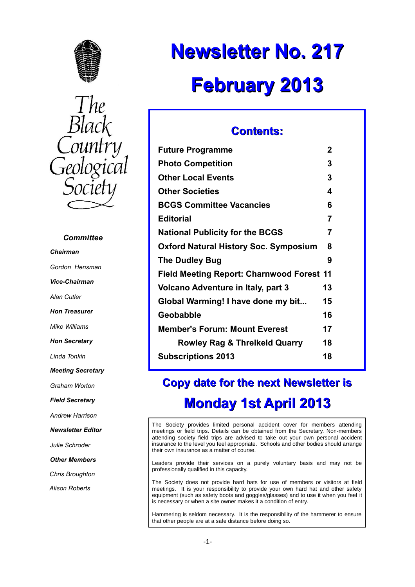



#### *Committee*

*Chairman Gordon Hensman Vice-Chairman Alan Cutler Hon Treasurer Mike Williams Hon Secretary Linda Tonkin Meeting Secretary Graham Worton Field Secretary Andrew Harrison Newsletter Editor Julie Schroder Other Members Chris Broughton Alison Roberts*

# **Newsletter No. 217 February 2013**

# **Contents:**

| <b>Future Programme</b>                          | 2              |
|--------------------------------------------------|----------------|
| <b>Photo Competition</b>                         | 3              |
| <b>Other Local Events</b>                        | 3              |
| <b>Other Societies</b>                           | 4              |
| <b>BCGS Committee Vacancies</b>                  | 6              |
| <b>Editorial</b>                                 | $\overline{7}$ |
| <b>National Publicity for the BCGS</b>           | 7              |
| <b>Oxford Natural History Soc. Symposium</b>     | 8              |
| <b>The Dudley Bug</b>                            | 9              |
| <b>Field Meeting Report: Charnwood Forest 11</b> |                |
| Volcano Adventure in Italy, part 3               | 13             |
| Global Warming! I have done my bit               | 15             |
| <b>Geobabble</b>                                 | 16             |
| <b>Member's Forum: Mount Everest</b>             | 17             |
| <b>Rowley Rag &amp; Threlkeld Quarry</b>         | 18             |
| <b>Subscriptions 2013</b>                        | 18             |
|                                                  |                |

# **Copy date for the next Newsletter is Monday 1st April 2013**

The Society provides limited personal accident cover for members attending meetings or field trips. Details can be obtained from the Secretary. Non-members attending society field trips are advised to take out your own personal accident insurance to the level you feel appropriate. Schools and other bodies should arrange their own insurance as a matter of course.

Leaders provide their services on a purely voluntary basis and may not be professionally qualified in this capacity.

The Society does not provide hard hats for use of members or visitors at field meetings. It is your responsibility to provide your own hard hat and other safety equipment (such as safety boots and goggles/glasses) and to use it when you feel it is necessary or when a site owner makes it a condition of entry.

Hammering is seldom necessary. It is the responsibility of the hammerer to ensure that other people are at a safe distance before doing so.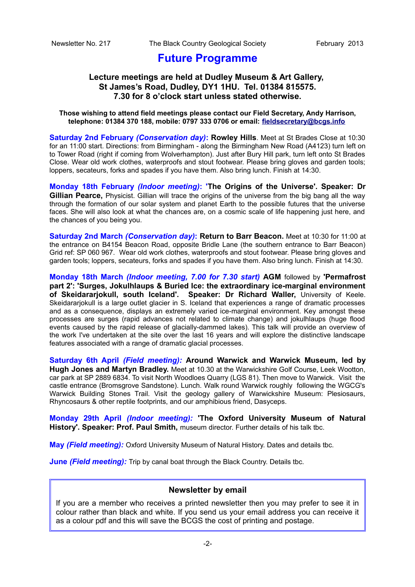# **Future Programme**

# **Lecture meetings are held at Dudley Museum & Art Gallery, St James's Road, Dudley, DY1 1HU. Tel. 01384 815575. 7.30 for 8 o'clock start unless stated otherwise.**

#### **Those wishing to attend field meetings please contact our Field Secretary, Andy Harrison, telephone: 01384 370 188, mobile: 0797 333 0706 or email: [fieldsecretary@bcgs.info](mailto:fieldsecretary@bcgs.info)**

**Saturday 2nd February** *(Conservation day)***: Rowley Hills**. Meet at St Brades Close at 10:30 for an 11:00 start. Directions: from Birmingham - along the Birmingham New Road (A4123) turn left on to Tower Road (right if coming from Wolverhampton). Just after Bury Hill park, turn left onto St Brades Close. Wear old work clothes, waterproofs and stout footwear. Please bring gloves and garden tools; loppers, secateurs, forks and spades if you have them. Also bring lunch. Finish at 14:30.

**Monday 18th February** *(Indoor meeting)***: 'The Origins of the Universe'. Speaker: Dr Gillian Pearce,** Physicist. Gillian will trace the origins of the universe from the big bang all the way through the formation of our solar system and planet Earth to the possible futures that the universe faces. She will also look at what the chances are, on a cosmic scale of life happening just here, and the chances of you being you.

**Saturday 2nd March** *(Conservation day)***: Return to Barr Beacon.** Meet at 10:30 for 11:00 at the entrance on B4154 Beacon Road, opposite Bridle Lane (the southern entrance to Barr Beacon) Grid ref: SP 060 967. Wear old work clothes, waterproofs and stout footwear. Please bring gloves and garden tools; loppers, secateurs, forks and spades if you have them. Also bring lunch. Finish at 14:30.

**Monday 18th March** *(Indoor meeting, 7.00 for 7.30 start)* **AGM** followed by **'Permafrost part 2': 'Surges, Jokulhlaups & Buried Ice: the extraordinary ice-marginal environment of Skeidararjokull, south Iceland'. Speaker: Dr Richard Waller,** University of Keele. Skeidarariokull is a large outlet glacier in S. Iceland that experiences a range of dramatic processes and as a consequence, displays an extremely varied ice-marginal environment. Key amongst these processes are surges (rapid advances not related to climate change) and jokulhlaups (huge flood events caused by the rapid release of glacially-dammed lakes). This talk will provide an overview of the work I've undertaken at the site over the last 16 years and will explore the distinctive landscape features associated with a range of dramatic glacial processes.

**Saturday 6th April** *(Field meeting):* **Around Warwick and Warwick Museum, led by Hugh Jones and Martyn Bradley.** Meet at 10.30 at the Warwickshire Golf Course, Leek Wootton, car park at SP 2889 6834. To visit North Woodloes Quarry (LGS 81). Then move to Warwick. Visit the castle entrance (Bromsgrove Sandstone). Lunch. Walk round Warwick roughly following the WGCG's Warwick Building Stones Trail. Visit the geology gallery of Warwickshire Museum: Plesiosaurs, Rhyncosaurs & other reptile footprints, and our amphibious friend, Dasyceps.

**Monday 29th April** *(Indoor meeting):* **'The Oxford University Museum of Natural History'. Speaker: Prof. Paul Smith,** museum director. Further details of his talk tbc.

**May** *(Field meeting):* Oxford University Museum of Natural History. Dates and details tbc.

**June** *(Field meeting):* Trip by canal boat through the Black Country. Details tbc.

## **Newsletter by email**

If you are a member who receives a printed newsletter then you may prefer to see it in colour rather than black and white. If you send us your email address you can receive it as a colour pdf and this will save the BCGS the cost of printing and postage.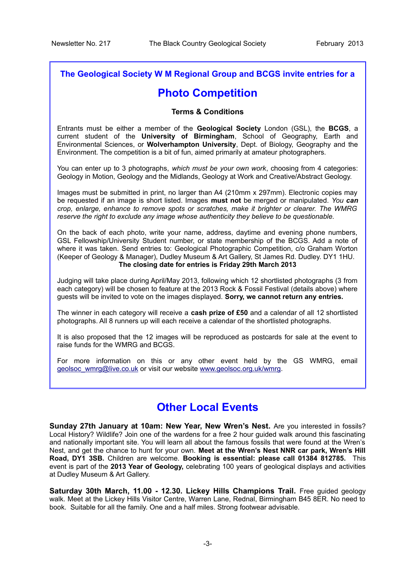# **The Geological Society W M Regional Group and BCGS invite entries for a**

# **Photo Competition**

## **Terms & Conditions**

Entrants must be either a member of the **Geological Society** London (GSL), the **BCGS**, a current student of the **University of Birmingham**, School of Geography, Earth and Environmental Sciences, or **Wolverhampton University**, Dept. of Biology, Geography and the Environment. The competition is a bit of fun, aimed primarily at amateur photographers.

You can enter up to 3 photographs, *which must be your own work*, choosing from 4 categories: Geology in Motion, Geology and the Midlands, Geology at Work and Creative/Abstract Geology.

Images must be submitted in print, no larger than A4 (210mm x 297mm). Electronic copies may be requested if an image is short listed. Images **must not** be merged or manipulated. *You can crop, enlarge, enhance to remove spots or scratches, make it brighter or clearer. The WMRG reserve the right to exclude any image whose authenticity they believe to be questionable.*

On the back of each photo, write your name, address, daytime and evening phone numbers, GSL Fellowship/University Student number, or state membership of the BCGS. Add a note of where it was taken. Send entries to: Geological Photographic Competition, c/o Graham Worton (Keeper of Geology & Manager), Dudley Museum & Art Gallery, St James Rd. Dudley. DY1 1HU. **The closing date for entries is Friday 29th March 2013**

Judging will take place during April/May 2013, following which 12 shortlisted photographs (3 from each category) will be chosen to feature at the 2013 Rock & Fossil Festival (details above) where guests will be invited to vote on the images displayed. **Sorry, we cannot return any entries.**

The winner in each category will receive a **cash prize of £50** and a calendar of all 12 shortlisted photographs. All 8 runners up will each receive a calendar of the shortlisted photographs.

It is also proposed that the 12 images will be reproduced as postcards for sale at the event to raise funds for the WMRG and BCGS.

For more information on this or any other event held by the GS WMRG, email [geolsoc\\_wmrg@live.co.uk](mailto:geolsoc_wmrg@live.co.uk) or visit our website [www.geolsoc.org.uk/wmrg.](http://www.geolsoc.org.uk/wmrg)

# **Other Local Events**

**Sunday 27th January at 10am: New Year, New Wren's Nest.** Are you interested in fossils? Local History? Wildlife? Join one of the wardens for a free 2 hour guided walk around this fascinating and nationally important site. You will learn all about the famous fossils that were found at the Wren's Nest, and get the chance to hunt for your own. **Meet at the Wren's Nest NNR car park, Wren's Hill Road, DY1 3SB.** Children are welcome. **Booking is essential: please call 01384 812785.** This event is part of the **2013 Year of Geology,** celebrating 100 years of geological displays and activities at Dudley Museum & Art Gallery.

**Saturday 30th March, 11.00 - 12.30. Lickey Hills Champions Trail.** Free guided geology walk. Meet at the Lickey Hills Visitor Centre, Warren Lane, Rednal, Birmingham B45 8ER. No need to book. Suitable for all the family. One and a half miles. Strong footwear advisable.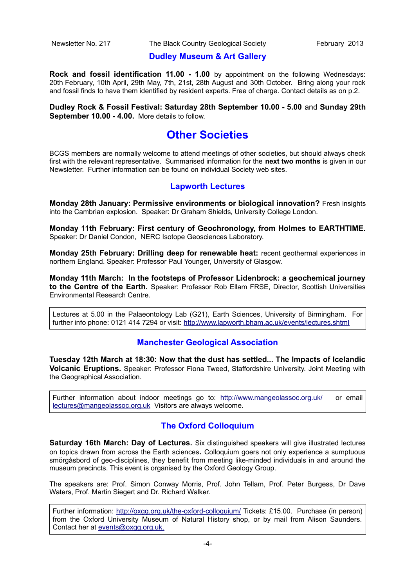# **Dudley Museum & Art Gallery**

**Rock and fossil identification 11.00 - 1.00** by appointment on the following Wednesdays: 20th February, 10th April, 29th May, 7th, 21st, 28th August and 30th October. Bring along your rock and fossil finds to have them identified by resident experts. Free of charge. Contact details as on p.2.

**Dudley Rock & Fossil Festival: Saturday 28th September 10.00 - 5.00** and **Sunday 29th September 10.00 - 4.00.** More details to follow.

# **Other Societies**

BCGS members are normally welcome to attend meetings of other societies, but should always check first with the relevant representative. Summarised information for the **next two months** is given in our Newsletter. Further information can be found on individual Society web sites.

# **Lapworth Lectures**

**Monday 28th January: Permissive environments or biological innovation?** Fresh insights into the Cambrian explosion. Speaker: Dr Graham Shields, University College London.

**Monday 11th February: First century of Geochronology, from Holmes to EARTHTIME.** Speaker: Dr Daniel Condon, NERC Isotope Geosciences Laboratory.

**Monday 25th February: Drilling deep for renewable heat:** recent geothermal experiences in northern England. Speaker: Professor Paul Younger, University of Glasgow.

**Monday 11th March: In the footsteps of Professor Lidenbrock: a geochemical journey** to the Centre of the Earth. Speaker: Professor Rob Ellam FRSE, Director, Scottish Universities Environmental Research Centre.

Lectures at 5.00 in the Palaeontology Lab (G21), Earth Sciences, University of Birmingham. For further info phone: 0121 414 7294 or visit:<http://www.lapworth.bham.ac.uk/events/lectures.shtml>

# **Manchester Geological Association**

**Tuesday 12th March at 18:30: Now that the dust has settled... The Impacts of Icelandic Volcanic Eruptions.** Speaker: Professor Fiona Tweed, Staffordshire University. Joint Meeting with the Geographical Association.

Further information about indoor meetings go to:<http://www.mangeolassoc.org.uk/>or email [lectures@mangeolassoc.org.uk](mailto:lectures@mangeolassoc.org.uk) Visitors are always welcome.

# **The Oxford Colloquium**

**Saturday 16th March: Day of Lectures.** Six distinguished speakers will give illustrated lectures on topics drawn from across the Earth sciences**.** Colloquium goers not only experience a sumptuous smörgåsbord of geo-disciplines, they benefit from meeting like-minded individuals in and around the museum precincts. This event is organised by the Oxford Geology Group.

The speakers are: Prof. Simon Conway Morris, Prof. John Tellam, Prof. Peter Burgess, Dr Dave Waters, Prof. Martin Siegert and Dr. Richard Walker.

Further information:<http://oxgg.org.uk/the-oxford-colloquium/>Tickets: £15.00. Purchase (in person) from the Oxford University Museum of Natural History shop, or by mail from Alison Saunders. Contact her at [events@oxgg.org.uk.](mailto:events@oxgg.org.uk)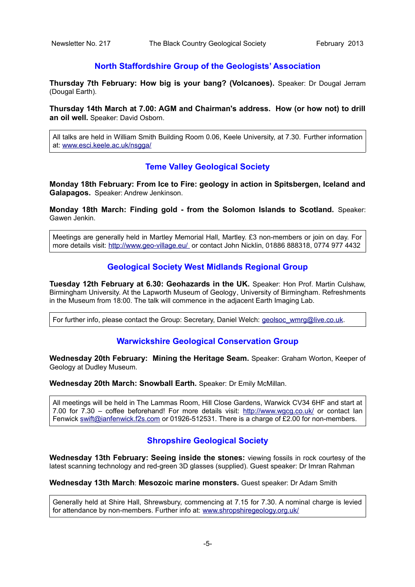# **North Staffordshire Group of the Geologists' Association**

**Thursday 7th February: How big is your bang? (Volcanoes).** Speaker: Dr Dougal Jerram (Dougal Earth).

**Thursday 14th March at 7.00: AGM and Chairman's address. How (or how not) to drill an oil well.** Speaker: David Osborn.

All talks are held in William Smith Building Room 0.06, Keele University, at 7.30. Further information at: [www.esci.keele.ac.uk/nsgga/](http://www.esci.keele.ac.uk/nsgga/)

# **Teme Valley Geological Society**

**Monday 18th February: From Ice to Fire: geology in action in Spitsbergen, Iceland and Galapagos.** Speaker: Andrew Jenkinson.

**Monday 18th March: Finding gold - from the Solomon Islands to Scotland.** Speaker: Gawen Jenkin.

Meetings are generally held in Martley Memorial Hall, Martley. £3 non-members or join on day. For more details visit: [http://www.geo-village.eu/](http://www.geo-village.eu/%20) or contact John Nicklin, 01886 888318, 0774 977 4432

### **Geological Society West Midlands Regional Group**

**Tuesday 12th February at 6.30: Geohazards in the UK.** Speaker: Hon Prof. Martin Culshaw, Birmingham University. At the Lapworth Museum of Geology, University of Birmingham. Refreshments in the Museum from 18:00. The talk will commence in the adjacent Earth Imaging Lab.

For further info, please contact the Group: Secretary, Daniel Welch: [geolsoc\\_wmrg@live.co.uk.](mailto:geolsoc_wmrg@live.co.uk)

### **Warwickshire Geological Conservation Group**

**Wednesday 20th February: Mining the Heritage Seam.** Speaker: Graham Worton, Keeper of Geology at Dudley Museum.

**Wednesday 20th March: Snowball Earth.** Speaker: Dr Emily McMillan.

All meetings will be held in The Lammas Room, Hill Close Gardens, Warwick CV34 6HF and start at 7.00 for 7.30 – coffee beforehand! For more details visit:<http://www.wgcg.co.uk/>or contact Ian Fenwick [swift@ianfenwick.f2s.com](mailto:swift@ianfenwick.f2s.com) or 01926-512531. There is a charge of £2.00 for non-members.

### **Shropshire Geological Society**

**Wednesday 13th February: Seeing inside the stones:** viewing fossils in rock courtesy of the latest scanning technology and red-green 3D glasses (supplied). Guest speaker: Dr Imran Rahman

**Wednesday 13th March**: **Mesozoic marine monsters.** Guest speaker: Dr Adam Smith

Generally held at Shire Hall, Shrewsbury, commencing at 7.15 for 7.30. A nominal charge is levied for attendance by non-members. Further info at: [www.shropshiregeology.org.uk/](http://www.shropshiregeology.org.uk/)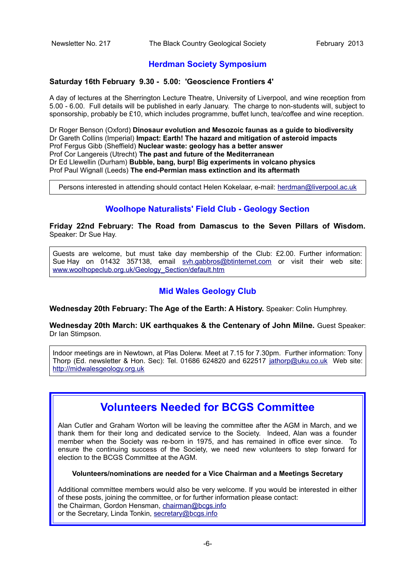# **Herdman Society Symposium**

#### **Saturday 16th February 9.30 - 5.00: 'Geoscience Frontiers 4'**

A day of lectures at the Sherrington Lecture Theatre, University of Liverpool, and wine reception from 5.00 - 6.00. Full details will be published in early January. The charge to non-students will, subject to sponsorship, probably be £10, which includes programme, buffet lunch, tea/coffee and wine reception.

Dr Roger Benson (Oxford) **Dinosaur evolution and Mesozoic faunas as a guide to biodiversity** Dr Gareth Collins (Imperial) **Impact: Earth! The hazard and mitigation of asteroid impacts** Prof Fergus Gibb (Sheffield) **Nuclear waste: geology has a better answer** Prof Cor Langereis (Utrecht) **The past and future of the Mediterranean** Dr Ed Llewellin (Durham) **Bubble, bang, burp! Big experiments in volcano physics** Prof Paul Wignall (Leeds) **The end-Permian mass extinction and its aftermath**

Persons interested in attending should contact Helen Kokelaar, e-mail: [herdman@liverpool.ac.uk](mailto:herdman@liverpool.ac.uk)

# **Woolhope Naturalists' Field Club - Geology Section**

**Friday 22nd February: The Road from Damascus to the Seven Pillars of Wisdom.** Speaker: Dr Sue Hay.

Guests are welcome, but must take day membership of the Club: £2.00. Further information: Sue Hay on 01432 357138, email [svh.gabbros@btinternet.com](mailto:svh.gabbros@btinternet.com) or visit their web site: [www.woolhopeclub.org.uk/Geology\\_Section/default.htm](http://www.woolhopeclub.org.uk/Geology_Section/default.htm)

# **Mid Wales Geology Club**

**Wednesday 20th February: The Age of the Earth: A History.** Speaker: Colin Humphrey.

**Wednesday 20th March: UK earthquakes & the Centenary of John Milne.** Guest Speaker: Dr Ian Stimpson.

Indoor meetings are in Newtown, at Plas Dolerw. Meet at 7.15 for 7.30pm. Further information: Tony Thorp (Ed. newsletter & Hon. Sec): Tel. 01686 624820 and 622517 [jathorp@uku.co.uk](mailto:jathorp@uku.co.uk) Web site: [http://midwalesgeology.org.uk](http://midwalesgeology.org.uk/)

# **Volunteers Needed for BCGS Committee**

Alan Cutler and Graham Worton will be leaving the committee after the AGM in March, and we thank them for their long and dedicated service to the Society. Indeed, Alan was a founder member when the Society was re-born in 1975, and has remained in office ever since. To ensure the continuing success of the Society, we need new volunteers to step forward for election to the BCGS Committee at the AGM.

**Volunteers/nominations are needed for a Vice Chairman and a Meetings Secretary**

Additional committee members would also be very welcome. If you would be interested in either of these posts, joining the committee, or for further information please contact: the Chairman, Gordon Hensman, [chairman@bcgs.info](mailto:chairman@bcgs.info) or the Secretary, Linda Tonkin, [secretary@bcgs.info](mailto:secretary@bcgs.info)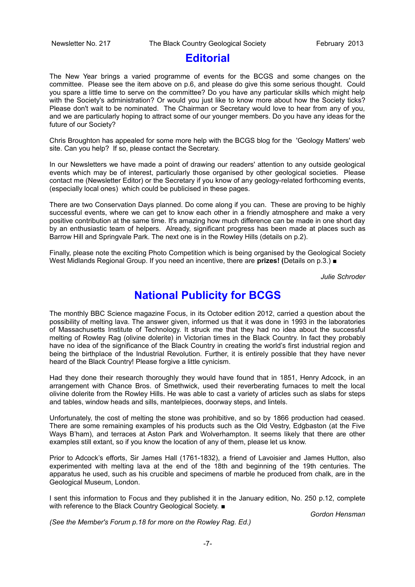# **Editorial**

The New Year brings a varied programme of events for the BCGS and some changes on the committee. Please see the item above on p.6, and please do give this some serious thought. Could you spare a little time to serve on the committee? Do you have any particular skills which might help with the Society's administration? Or would you just like to know more about how the Society ticks? Please don't wait to be nominated. The Chairman or Secretary would love to hear from any of you, and we are particularly hoping to attract some of our younger members. Do you have any ideas for the future of our Society?

Chris Broughton has appealed for some more help with the BCGS blog for the 'Geology Matters' web site. Can you help? If so, please contact the Secretary.

In our Newsletters we have made a point of drawing our readers' attention to any outside geological events which may be of interest, particularly those organised by other geological societies. Please contact me (Newsletter Editor) or the Secretary if you know of any geology-related forthcoming events, (especially local ones) which could be publicised in these pages.

There are two Conservation Days planned. Do come along if you can. These are proving to be highly successful events, where we can get to know each other in a friendly atmosphere and make a very positive contribution at the same time. It's amazing how much difference can be made in one short day by an enthusiastic team of helpers. Already, significant progress has been made at places such as Barrow Hill and Springvale Park. The next one is in the Rowley Hills (details on p.2).

Finally, please note the exciting Photo Competition which is being organised by the Geological Society West Midlands Regional Group. If you need an incentive, there are **prizes! (**Details on p.3.) ■

*Julie Schroder*

# **National Publicity for BCGS**

The monthly BBC Science magazine Focus, in its October edition 2012, carried a question about the possibility of melting lava. The answer given, informed us that it was done in 1993 in the laboratories of Massachusetts Institute of Technology. It struck me that they had no idea about the successful melting of Rowley Rag (olivine dolerite) in Victorian times in the Black Country. In fact they probably have no idea of the significance of the Black Country in creating the world's first industrial region and being the birthplace of the Industrial Revolution. Further, it is entirely possible that they have never heard of the Black Country! Please forgive a little cynicism.

Had they done their research thoroughly they would have found that in 1851, Henry Adcock, in an arrangement with Chance Bros. of Smethwick, used their reverberating furnaces to melt the local olivine dolerite from the Rowley Hills. He was able to cast a variety of articles such as slabs for steps and tables, window heads and sills, mantelpieces, doorway steps, and lintels.

Unfortunately, the cost of melting the stone was prohibitive, and so by 1866 production had ceased. There are some remaining examples of his products such as the Old Vestry, Edgbaston (at the Five Ways B'ham), and terraces at Aston Park and Wolverhampton. It seems likely that there are other examples still extant, so if you know the location of any of them, please let us know.

Prior to Adcock's efforts, Sir James Hall (1761-1832), a friend of Lavoisier and James Hutton, also experimented with melting lava at the end of the 18th and beginning of the 19th centuries. The apparatus he used, such as his crucible and specimens of marble he produced from chalk, are in the Geological Museum, London.

I sent this information to Focus and they published it in the January edition, No. 250 p.12, complete with reference to the Black Country Geological Society. ■

*Gordon Hensman*

*(See the Member's Forum p.18 for more on the Rowley Rag. Ed.)*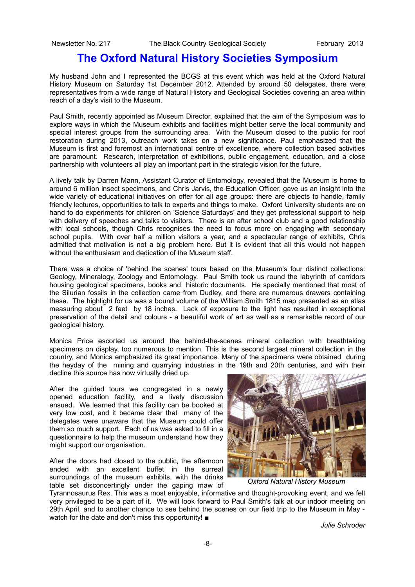# **The Oxford Natural History Societies Symposium**

My husband John and I represented the BCGS at this event which was held at the Oxford Natural History Museum on Saturday 1st December 2012. Attended by around 50 delegates, there were representatives from a wide range of Natural History and Geological Societies covering an area within reach of a day's visit to the Museum.

Paul Smith, recently appointed as Museum Director, explained that the aim of the Symposium was to explore ways in which the Museum exhibits and facilities might better serve the local community and special interest groups from the surrounding area. With the Museum closed to the public for roof restoration during 2013, outreach work takes on a new significance. Paul emphasized that the Museum is first and foremost an international centre of excellence, where collection based activities are paramount. Research, interpretation of exhibitions, public engagement, education, and a close partnership with volunteers all play an important part in the strategic vision for the future.

A lively talk by Darren Mann, Assistant Curator of Entomology, revealed that the Museum is home to around 6 million insect specimens, and Chris Jarvis, the Education Officer, gave us an insight into the wide variety of educational initiatives on offer for all age groups: there are objects to handle, family friendly lectures, opportunities to talk to experts and things to make. Oxford University students are on hand to do experiments for children on 'Science Saturdays' and they get professional support to help with delivery of speeches and talks to visitors. There is an after school club and a good relationship with local schools, though Chris recognises the need to focus more on engaging with secondary school pupils. With over half a million visitors a year, and a spectacular range of exhibits, Chris admitted that motivation is not a big problem here. But it is evident that all this would not happen without the enthusiasm and dedication of the Museum staff.

There was a choice of 'behind the scenes' tours based on the Museum's four distinct collections: Geology, Mineralogy, Zoology and Entomology. Paul Smith took us round the labyrinth of corridors housing geological specimens, books and historic documents. He specially mentioned that most of the Silurian fossils in the collection came from Dudley, and there are numerous drawers containing these. The highlight for us was a bound volume of the William Smith 1815 map presented as an atlas measuring about 2 feet by 18 inches. Lack of exposure to the light has resulted in exceptional preservation of the detail and colours - a beautiful work of art as well as a remarkable record of our geological history.

Monica Price escorted us around the behind-the-scenes mineral collection with breathtaking specimens on display, too numerous to mention. This is the second largest mineral collection in the country, and Monica emphasized its great importance. Many of the specimens were obtained during the heyday of the mining and quarrying industries in the 19th and 20th centuries, and with their decline this source has now virtually dried up.

After the guided tours we congregated in a newly opened education facility, and a lively discussion ensued. We learned that this facility can be booked at very low cost, and it became clear that many of the delegates were unaware that the Museum could offer them so much support. Each of us was asked to fill in a questionnaire to help the museum understand how they might support our organisation.

After the doors had closed to the public, the afternoon ended with an excellent buffet in the surreal surroundings of the museum exhibits, with the drinks table set disconcertingly under the gaping maw of



*Oxford Natural History Museum*

Tyrannosaurus Rex. This was a most enjoyable, informative and thought-provoking event, and we felt very privileged to be a part of it. We will look forward to Paul Smith's talk at our indoor meeting on 29th April, and to another chance to see behind the scenes on our field trip to the Museum in May watch for the date and don't miss this opportunity! ■

*Julie Schroder*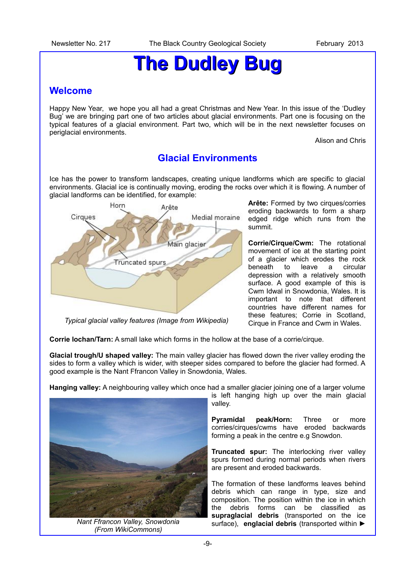# **The Dudley Bug**

# **Welcome**

Happy New Year, we hope you all had a great Christmas and New Year. In this issue of the 'Dudley Bug' we are bringing part one of two articles about glacial environments. Part one is focusing on the typical features of a glacial environment. Part two, which will be in the next newsletter focuses on periglacial environments.

Alison and Chris

# **Glacial Environments**

Ice has the power to transform landscapes, creating unique landforms which are specific to glacial environments. Glacial ice is continually moving, eroding the rocks over which it is flowing. A number of glacial landforms can be identified, for example:



*Typical glacial valley features (Image from Wikipedia)*

**Arête:** Formed by two cirques/corries eroding backwards to form a sharp edged ridge which runs from the summit.

**Corrie/Cirque/Cwm:** The rotational movement of ice at the starting point of a glacier which erodes the rock beneath to leave a circular depression with a relatively smooth surface. A good example of this is Cwm Idwal in Snowdonia, Wales. It is important to note that different countries have different names for these features; Corrie in Scotland, Cirque in France and Cwm in Wales.

**Corrie lochan/Tarn:** A small lake which forms in the hollow at the base of a corrie/cirque.

**Glacial trough/U shaped valley:** The main valley glacier has flowed down the river valley eroding the sides to form a valley which is wider, with steeper sides compared to before the glacier had formed. A good example is the Nant Ffrancon Valley in Snowdonia, Wales.

**Hanging valley:** A neighbouring valley which once had a smaller glacier joining one of a larger volume



*Nant Ffrancon Valley, Snowdonia (From WikiCommons)*

is left hanging high up over the main glacial valley.

**Pyramidal peak/Horn:** Three or more corries/cirques/cwms have eroded backwards forming a peak in the centre e.g Snowdon.

**Truncated spur:** The interlocking river valley spurs formed during normal periods when rivers are present and eroded backwards.

The formation of these landforms leaves behind debris which can range in type, size and composition. The position within the ice in which the debris forms can be classified as **supraglacial debris** (transported on the ice surface), **englacial debris** (transported within ►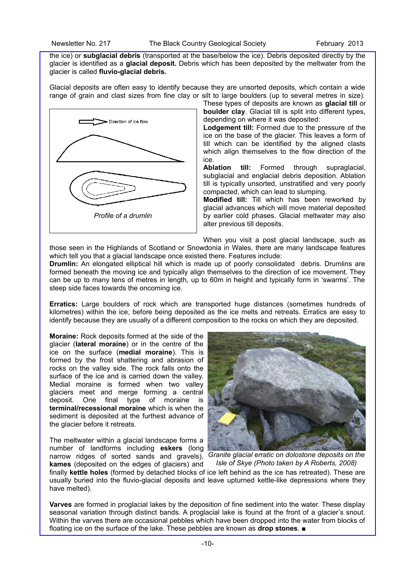the ice) or **subglacial debris** (transported at the base/below the ice). Debris deposited directly by the glacier is identified as a **glacial deposit.** Debris which has been deposited by the meltwater from the glacier is called **fluvio-glacial debris.**

Glacial deposits are often easy to identify because they are unsorted deposits, which contain a wide range of grain and clast sizes from fine clay or silt to large boulders (up to several metres in size).



These types of deposits are known as **glacial till** or **boulder clay**. Glacial till is split into different types, depending on where it was deposited:

**Lodgement till:** Formed due to the pressure of the ice on the base of the glacier. This leaves a form of till which can be identified by the aligned clasts which align themselves to the flow direction of the ice.

**Ablation till:** Formed through supraglacial, subglacial and englacial debris deposition. Ablation till is typically unsorted, unstratified and very poorly compacted, which can lead to slumping.

**Modified till:** Till which has been reworked by glacial advances which will move material deposited by earlier cold phases. Glacial meltwater may also alter previous till deposits.

When you visit a post glacial landscape, such as those seen in the Highlands of Scotland or Snowdonia in Wales, there are many landscape features which tell you that a glacial landscape once existed there. Features include:

**Drumlin:** An elongated elliptical hill which is made up of poorly consolidated debris. Drumlins are formed beneath the moving ice and typically align themselves to the direction of ice movement. They can be up to many tens of metres in length, up to 60m in height and typically form in 'swarms'. The steep side faces towards the oncoming ice.

**Erratics:** Large boulders of rock which are transported huge distances (sometimes hundreds of kilometres) within the ice, before being deposited as the ice melts and retreats. Erratics are easy to identify because they are usually of a different composition to the rocks on which they are deposited.

**Moraine:** Rock deposits formed at the side of the glacier (**lateral moraine**) or in the centre of the ice on the surface (**medial moraine**). This is formed by the frost shattering and abrasion of rocks on the valley side. The rock falls onto the surface of the ice and is carried down the valley. Medial moraine is formed when two valley glaciers meet and merge forming a central deposit. One final type of moraine is **terminal/recessional moraine** which is when the sediment is deposited at the furthest advance of the glacier before it retreats.

The meltwater within a glacial landscape forms a number of landforms including **eskers** (long narrow ridges of sorted sands and gravels), **kames** (deposited on the edges of glaciers) and



*Granite glacial erratic on dolostone deposits on the Isle of Skye (Photo taken by A Roberts, 2008)*

finally **kettle holes** (formed by detached blocks of ice left behind as the ice has retreated). These are usually buried into the fluvio-glacial deposits and leave upturned kettle-like depressions where they have melted).

**Varves** are formed in proglacial lakes by the deposition of fine sediment into the water. These display seasonal variation through distinct bands. A proglacial lake is found at the front of a glacier's snout. Within the varves there are occasional pebbles which have been dropped into the water from blocks of floating ice on the surface of the lake. These pebbles are known as **drop stones**. ■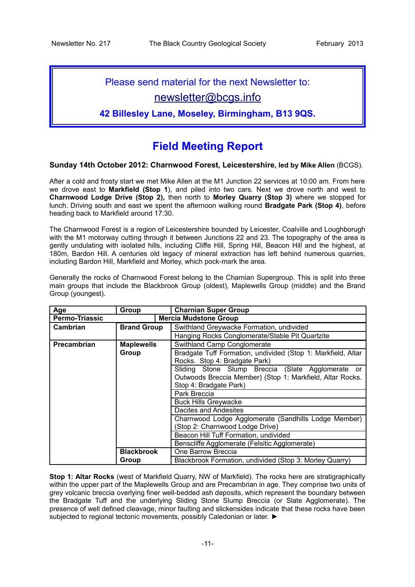# Please send material for the next Newsletter to:

# [newsletter@bcgs.info](mailto:newsletter@bcgs.info)

**42 Billesley Lane, Moseley, Birmingham, B13 9QS.**

# **Field Meeting Report**

### **Sunday 14th October 2012: Charnwood Forest, Leicestershire, led by Mike Allen** (BCGS).

After a cold and frosty start we met Mike Allen at the M1 Junction 22 services at 10:00 am. From here we drove east to **Markfield (Stop 1**), and piled into two cars. Next we drove north and west to **Charnwood Lodge Drive (Stop 2),** then north to **Morley Quarry (Stop 3)** where we stopped for lunch. Driving south and east we spent the afternoon walking round **Bradgate Park (Stop 4)**, before heading back to Markfield around 17:30.

The Charnwood Forest is a region of Leicestershire bounded by Leicester, Coalville and Loughborugh with the M1 motorway cutting through it between Junctions 22 and 23. The topography of the area is gently undulating with isolated hills, including Cliffe Hill, Spring Hill, Beacon Hill and the highest, at 180m, Bardon Hill. A centuries old legacy of mineral extraction has left behind numerous quarries, including Bardon Hill, Markfield and Morley, which pock-mark the area.

Generally the rocks of Charnwood Forest belong to the Charnian Supergroup. This is split into three main groups that include the Blackbrook Group (oldest), Maplewells Group (middle) and the Brand Group (youngest).

| Age                   | Group              | <b>Charnian Super Group</b>                                  |  |  |  |  |  |
|-----------------------|--------------------|--------------------------------------------------------------|--|--|--|--|--|
| <b>Permo-Triassic</b> |                    | <b>Mercia Mudstone Group</b>                                 |  |  |  |  |  |
| Cambrian              | <b>Brand Group</b> | Swithland Greywacke Formation, undivided                     |  |  |  |  |  |
|                       |                    | Hanging Rocks Conglomerate/Stable Pit Quartzite              |  |  |  |  |  |
| Precambrian           | <b>Maplewells</b>  | Swithland Camp Conglomerate                                  |  |  |  |  |  |
|                       | Group              | Bradgate Tuff Formation, undivided (Stop 1: Markfield, Altar |  |  |  |  |  |
|                       |                    | Rocks. Stop 4: Bradgate Park)                                |  |  |  |  |  |
|                       |                    | Sliding Stone Slump Breccia (Slate Agglomerate or            |  |  |  |  |  |
|                       |                    | Outwoods Breccia Member) (Stop 1: Markfield, Altar Rocks.    |  |  |  |  |  |
|                       |                    | Stop 4: Bradgate Park)                                       |  |  |  |  |  |
|                       |                    | Park Breccia                                                 |  |  |  |  |  |
|                       |                    | <b>Buck Hills Greywacke</b>                                  |  |  |  |  |  |
|                       |                    | Dacites and Andesites                                        |  |  |  |  |  |
|                       |                    | Charnwood Lodge Agglomerate (Sandhills Lodge Member)         |  |  |  |  |  |
|                       |                    | (Stop 2: Charnwood Lodge Drive)                              |  |  |  |  |  |
|                       |                    | Beacon Hill Tuff Formation, undivided                        |  |  |  |  |  |
|                       |                    | Benscliffe Agglomerate (Felsitic Agglomerate)                |  |  |  |  |  |
|                       | <b>Blackbrook</b>  | One Barrow Breccia                                           |  |  |  |  |  |
|                       | Group              | Blackbrook Formation, undivided (Stop 3: Morley Quarry)      |  |  |  |  |  |

**Stop 1: Altar Rocks** (west of Markfield Quarry, NW of Markfield). The rocks here are stratigraphically within the upper part of the Maplewells Group and are Precambrian in age. They comprise two units of grey volcanic breccia overlying finer well-bedded ash deposits, which represent the boundary between the Bradgate Tuff and the underlying Sliding Stone Slump Breccia (or Slate Agglomerate). The presence of well defined cleavage, minor faulting and slickensides indicate that these rocks have been subjected to regional tectonic movements, possibly Caledonian or later. ►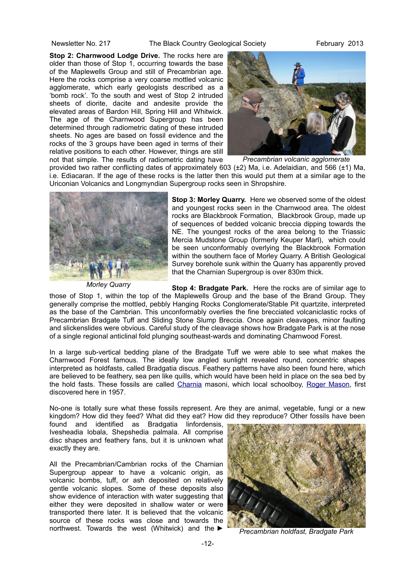**Stop 2: Charnwood Lodge Drive.** The rocks here are older than those of Stop 1, occurring towards the base of the Maplewells Group and still of Precambrian age. Here the rocks comprise a very coarse mottled volcanic agglomerate, which early geologists described as a 'bomb rock'. To the south and west of Stop 2 intruded sheets of diorite, dacite and andesite provide the elevated areas of Bardon Hill, Spring Hill and Whitwick. The age of the Charnwood Supergroup has been determined through radiometric dating of these intruded sheets. No ages are based on fossil evidence and the rocks of the 3 groups have been aged in terms of their relative positions to each other. However, things are still not that simple. The results of radiometric dating have



*Precambrian volcanic agglomerate*

provided two rather conflicting dates of approximately 603 (±2) Ma, i.e. Adelaidian, and 566 (±1) Ma, i.e. Ediacaran. If the age of these rocks is the latter then this would put them at a similar age to the Uriconian Volcanics and Longmyndian Supergroup rocks seen in Shropshire.



**Stop 3: Morley Quarry.** Here we observed some of the oldest and youngest rocks seen in the Charnwood area. The oldest rocks are Blackbrook Formation, Blackbrook Group, made up of sequences of bedded volcanic breccia dipping towards the NE. The youngest rocks of the area belong to the Triassic Mercia Mudstone Group (formerly Keuper Marl), which could be seen unconformably overlying the Blackbrook Formation within the southern face of Morley Quarry. A British Geological Survey borehole sunk within the Quarry has apparently proved that the Charnian Supergroup is over 830m thick.

*Morley Quarry*

**Stop 4: Bradgate Park.** Here the rocks are of similar age to those of Stop 1, within the top of the Maplewells Group and the base of the Brand Group. They generally comprise the mottled, pebbly Hanging Rocks Conglomerate/Stable Pit quartzite, interpreted as the base of the Cambrian. This unconformably overlies the fine brecciated volcaniclastic rocks of Precambrian Bradgate Tuff and Sliding Stone Slump Breccia. Once again cleavages, minor faulting and slickenslides were obvious. Careful study of the cleavage shows how Bradgate Park is at the nose of a single regional anticlinal fold plunging southeast-wards and dominating Charnwood Forest.

In a large sub-vertical bedding plane of the Bradgate Tuff we were able to see what makes the Charnwood Forest famous. The ideally low angled sunlight revealed round, concentric shapes interpreted as holdfasts, called Bradgatia discus. Feathery patterns have also been found here, which are believed to be feathery, sea pen like quills, which would have been held in place on the sea bed by the hold fasts. These fossils are called [Charnia](http://en.wikipedia.org/wiki/Charnia) masoni, which local schoolboy, [Roger Mason,](http://en.wikipedia.org/wiki/Roger_Mason_(geologist)) first discovered here in 1957.

No-one is totally sure what these fossils represent. Are they are animal, vegetable, fungi or a new kingdom? How did they feed? What did they eat? How did they reproduce? Other fossils have been

found and identified as Bradgatia linfordensis, Ivesheadia lobala, Shepshedia palmala. All comprise disc shapes and feathery fans, but it is unknown what exactly they are.

All the Precambrian/Cambrian rocks of the Charnian Supergroup appear to have a volcanic origin, as volcanic bombs, tuff, or ash deposited on relatively gentle volcanic slopes. Some of these deposits also show evidence of interaction with water suggesting that either they were deposited in shallow water or were transported there later. It is believed that the volcanic source of these rocks was close and towards the northwest. Towards the west (Whitwick) and the ►



*Precambrian holdfast, Bradgate Park*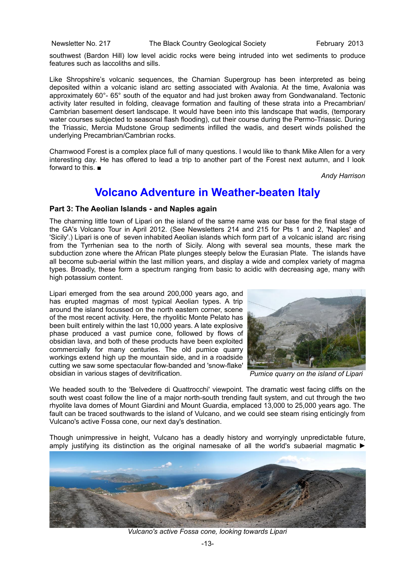southwest (Bardon Hill) low level acidic rocks were being intruded into wet sediments to produce features such as laccoliths and sills.

Like Shropshire's volcanic sequences, the Charnian Supergroup has been interpreted as being deposited within a volcanic island arc setting associated with Avalonia. At the time, Avalonia was approximately 60°- 65° south of the equator and had just broken away from Gondwanaland. Tectonic activity later resulted in folding, cleavage formation and faulting of these strata into a Precambrian/ Cambrian basement desert landscape. It would have been into this landscape that wadis, (temporary water courses subjected to seasonal flash flooding), cut their course during the Permo-Triassic. During the Triassic, Mercia Mudstone Group sediments infilled the wadis, and desert winds polished the underlying Precambrian/Cambrian rocks.

Charnwood Forest is a complex place full of many questions. I would like to thank Mike Allen for a very interesting day. He has offered to lead a trip to another part of the Forest next autumn, and I look forward to this. ■

*Andy Harrison*

# **Volcano Adventure in Weather-beaten Italy**

#### **Part 3: The Aeolian Islands - and Naples again**

The charming little town of Lipari on the island of the same name was our base for the final stage of the GA's Volcano Tour in April 2012. (See Newsletters 214 and 215 for Pts 1 and 2, 'Naples' and 'Sicily'.) Lipari is one of seven inhabited Aeolian islands which form part of a volcanic island arc rising from the Tyrrhenian sea to the north of Sicily. Along with several sea mounts, these mark the subduction zone where the African Plate plunges steeply below the Eurasian Plate. The islands have all become sub-aerial within the last million years, and display a wide and complex variety of magma types. Broadly, these form a spectrum ranging from basic to acidic with decreasing age, many with high potassium content.

Lipari emerged from the sea around 200,000 years ago, and has erupted magmas of most typical Aeolian types. A trip around the island focussed on the north eastern corner, scene of the most recent activity. Here, the rhyolitic Monte Pelato has been built entirely within the last 10,000 years. A late explosive phase produced a vast pumice cone, followed by flows of obsidian lava, and both of these products have been exploited commercially for many centuries. The old pumice quarry workings extend high up the mountain side, and in a roadside cutting we saw some spectacular flow-banded and 'snow-flake' obsidian in various stages of devitrification.



*Pumice quarry on the island of Lipari*

We headed south to the 'Belvedere di Quattrocchi' viewpoint. The dramatic west facing cliffs on the south west coast follow the line of a major north-south trending fault system, and cut through the two rhyolite lava domes of Mount Giardini and Mount Guardia, emplaced 13,000 to 25,000 years ago. The fault can be traced southwards to the island of Vulcano, and we could see steam rising enticingly from Vulcano's active Fossa cone, our next day's destination.

Though unimpressive in height, Vulcano has a deadly history and worryingly unpredictable future, amply justifying its distinction as the original namesake of all the world's subaerial magmatic ►



*Vulcano's active Fossa cone, looking towards Lipari*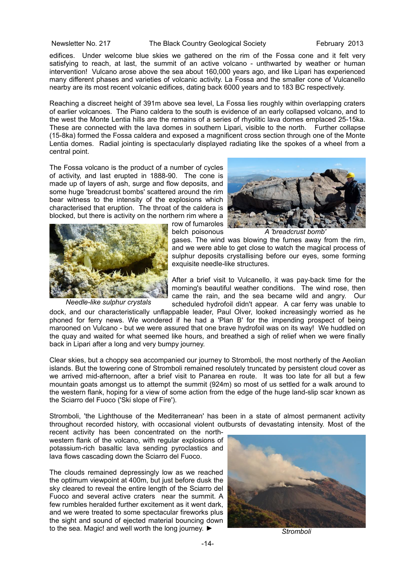edifices. Under welcome blue skies we gathered on the rim of the Fossa cone and it felt very satisfying to reach, at last, the summit of an active volcano - unthwarted by weather or human intervention! Vulcano arose above the sea about 160,000 years ago, and like Lipari has experienced many different phases and varieties of volcanic activity. La Fossa and the smaller cone of Vulcanello nearby are its most recent volcanic edifices, dating back 6000 years and to 183 BC respectively.

Reaching a discreet height of 391m above sea level, La Fossa lies roughly within overlapping craters of earlier volcanoes. The Piano caldera to the south is evidence of an early collapsed volcano, and to the west the Monte Lentia hills are the remains of a series of rhyolitic lava domes emplaced 25-15ka. These are connected with the lava domes in southern Lipari, visible to the north. Further collapse (15-8ka) formed the Fossa caldera and exposed a magnificent cross section through one of the Monte Lentia domes. Radial jointing is spectacularly displayed radiating like the spokes of a wheel from a central point.

The Fossa volcano is the product of a number of cycles of activity, and last erupted in 1888-90. The cone is made up of layers of ash, surge and flow deposits, and some huge 'breadcrust bombs' scattered around the rim bear witness to the intensity of the explosions which characterised that eruption. The throat of the caldera is blocked, but there is activity on the northern rim where a



*Needle-like sulphur crystals*

row of fumaroles belch poisonous



*A 'breadcrust bomb'* 

gases. The wind was blowing the fumes away from the rim, and we were able to get close to watch the magical process of sulphur deposits crystallising before our eyes, some forming exquisite needle-like structures.

After a brief visit to Vulcanello, it was pay-back time for the morning's beautiful weather conditions. The wind rose, then came the rain, and the sea became wild and angry. Our scheduled hydrofoil didn't appear. A car ferry was unable to

dock, and our characteristically unflappable leader, Paul Olver, looked increasingly worried as he phoned for ferry news. We wondered if he had a 'Plan B' for the impending prospect of being marooned on Vulcano - but we were assured that one brave hydrofoil was on its way! We huddled on the quay and waited for what seemed like hours, and breathed a sigh of relief when we were finally back in Lipari after a long and very bumpy journey.

Clear skies, but a choppy sea accompanied our journey to Stromboli, the most northerly of the Aeolian islands. But the towering cone of Stromboli remained resolutely truncated by persistent cloud cover as we arrived mid-afternoon, after a brief visit to Panarea en route. It was too late for all but a few mountain goats amongst us to attempt the summit (924m) so most of us settled for a walk around to the western flank, hoping for a view of some action from the edge of the huge land-slip scar known as the Sciarro del Fuoco ('Ski slope of Fire').

Stromboli, 'the Lighthouse of the Mediterranean' has been in a state of almost permanent activity throughout recorded history, with occasional violent outbursts of devastating intensity. Most of the

recent activity has been concentrated on the northwestern flank of the volcano, with regular explosions of potassium-rich basaltic lava sending pyroclastics and lava flows cascading down the Sciarro del Fuoco.

The clouds remained depressingly low as we reached the optimum viewpoint at 400m, but just before dusk the sky cleared to reveal the entire length of the Sciarro del Fuoco and several active craters near the summit. A few rumbles heralded further excitement as it went dark, and we were treated to some spectacular fireworks plus the sight and sound of ejected material bouncing down to the sea. Magic! and well worth the long journey. ►



*Stromboli*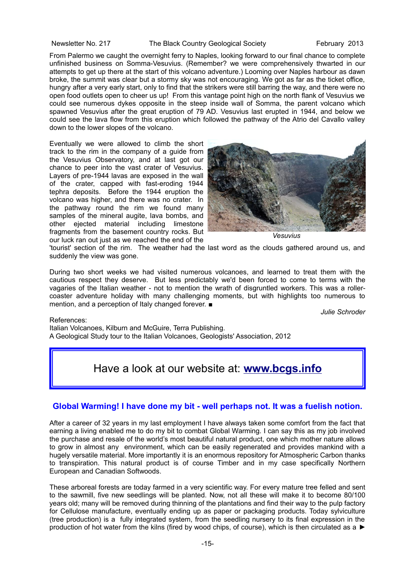From Palermo we caught the overnight ferry to Naples, looking forward to our final chance to complete unfinished business on Somma-Vesuvius. (Remember? we were comprehensively thwarted in our attempts to get up there at the start of this volcano adventure.) Looming over Naples harbour as dawn broke, the summit was clear but a stormy sky was not encouraging. We got as far as the ticket office, hungry after a very early start, only to find that the strikers were still barring the way, and there were no open food outlets open to cheer us up! From this vantage point high on the north flank of Vesuvius we could see numerous dykes opposite in the steep inside wall of Somma, the parent volcano which spawned Vesuvius after the great eruption of 79 AD. Vesuvius last erupted in 1944, and below we could see the lava flow from this eruption which followed the pathway of the Atrio del Cavallo valley down to the lower slopes of the volcano.

Eventually we were allowed to climb the short track to the rim in the company of a guide from the Vesuvius Observatory, and at last got our chance to peer into the vast crater of Vesuvius. Layers of pre-1944 lavas are exposed in the wall of the crater, capped with fast-eroding 1944 tephra deposits. Before the 1944 eruption the volcano was higher, and there was no crater. In the pathway round the rim we found many samples of the mineral augite, lava bombs, and other ejected material including limestone fragments from the basement country rocks. But our luck ran out just as we reached the end of the



*Vesuvius*

'tourist' section of the rim. The weather had the last word as the clouds gathered around us, and suddenly the view was gone.

During two short weeks we had visited numerous volcanoes, and learned to treat them with the cautious respect they deserve. But less predictably we'd been forced to come to terms with the vagaries of the Italian weather - not to mention the wrath of disgruntled workers. This was a rollercoaster adventure holiday with many challenging moments, but with highlights too numerous to mention, and a perception of Italy changed forever. ■

*Julie Schroder*

References:

Italian Volcanoes, Kilburn and McGuire, Terra Publishing. A Geological Study tour to the Italian Volcanoes, Geologists' Association, 2012

# Have a look at our website at: **[www.bcgs.info](http://www.bcgs.info/)**

#### **Global Warming! I have done my bit - well perhaps not. It was a fuelish notion.**

After a career of 32 years in my last employment I have always taken some comfort from the fact that earning a living enabled me to do my bit to combat Global Warming. I can say this as my job involved the purchase and resale of the world's most beautiful natural product, one which mother nature allows to grow in almost any environment, which can be easily regenerated and provides mankind with a hugely versatile material. More importantly it is an enormous repository for Atmospheric Carbon thanks to transpiration. This natural product is of course Timber and in my case specifically Northern European and Canadian Softwoods.

These arboreal forests are today farmed in a very scientific way. For every mature tree felled and sent to the sawmill, five new seedlings will be planted. Now, not all these will make it to become 80/100 years old; many will be removed during thinning of the plantations and find their way to the pulp factory for Cellulose manufacture, eventually ending up as paper or packaging products. Today sylviculture (tree production) is a fully integrated system, from the seedling nursery to its final expression in the production of hot water from the kilns (fired by wood chips, of course), which is then circulated as a ►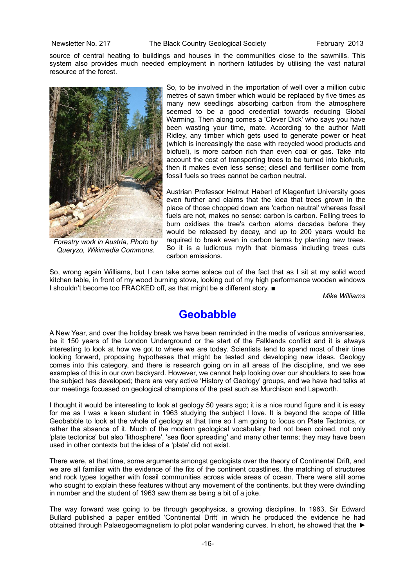source of central heating to buildings and houses in the communities close to the sawmills. This system also provides much needed employment in northern latitudes by utilising the vast natural resource of the forest.



*Forestry work in Austria, Photo by Queryzo, Wikimedia Commons.*

So, to be involved in the importation of well over a million cubic metres of sawn timber which would be replaced by five times as many new seedlings absorbing carbon from the atmosphere seemed to be a good credential towards reducing Global Warming. Then along comes a 'Clever Dick' who says you have been wasting your time, mate. According to the author Matt Ridley, any timber which gets used to generate power or heat (which is increasingly the case with recycled wood products and biofuel), is more carbon rich than even coal or gas. Take into account the cost of transporting trees to be turned into biofuels, then it makes even less sense; diesel and fertiliser come from fossil fuels so trees cannot be carbon neutral.

Austrian Professor Helmut Haberl of Klagenfurt University goes even further and claims that the idea that trees grown in the place of those chopped down are 'carbon neutral' whereas fossil fuels are not, makes no sense: carbon is carbon. Felling trees to burn oxidises the tree's carbon atoms decades before they would be released by decay, and up to 200 years would be required to break even in carbon terms by planting new trees. So it is a ludicrous myth that biomass including trees cuts carbon emissions.

So, wrong again Williams, but I can take some solace out of the fact that as I sit at my solid wood kitchen table, in front of my wood burning stove, looking out of my high performance wooden windows I shouldn't become too FRACKED off, as that might be a different story. ■

*Mike Williams*

# **Geobabble**

A New Year, and over the holiday break we have been reminded in the media of various anniversaries, be it 150 years of the London Underground or the start of the Falklands conflict and it is always interesting to look at how we got to where we are today. Scientists tend to spend most of their time looking forward, proposing hypotheses that might be tested and developing new ideas. Geology comes into this category, and there is research going on in all areas of the discipline, and we see examples of this in our own backyard. However, we cannot help looking over our shoulders to see how the subject has developed; there are very active 'History of Geology' groups, and we have had talks at our meetings focussed on geological champions of the past such as Murchison and Lapworth.

I thought it would be interesting to look at geology 50 years ago; it is a nice round figure and it is easy for me as I was a keen student in 1963 studying the subject I love. It is beyond the scope of little Geobabble to look at the whole of geology at that time so I am going to focus on Plate Tectonics, or rather the absence of it. Much of the modern geological vocabulary had not been coined, not only 'plate tectonics' but also 'lithosphere', 'sea floor spreading' and many other terms; they may have been used in other contexts but the idea of a 'plate' did not exist.

There were, at that time, some arguments amongst geologists over the theory of Continental Drift, and we are all familiar with the evidence of the fits of the continent coastlines, the matching of structures and rock types together with fossil communities across wide areas of ocean. There were still some who sought to explain these features without any movement of the continents, but they were dwindling in number and the student of 1963 saw them as being a bit of a joke.

The way forward was going to be through geophysics, a growing discipline. In 1963, Sir Edward Bullard published a paper entitled 'Continental Drift' in which he produced the evidence he had obtained through Palaeogeomagnetism to plot polar wandering curves. In short, he showed that the ►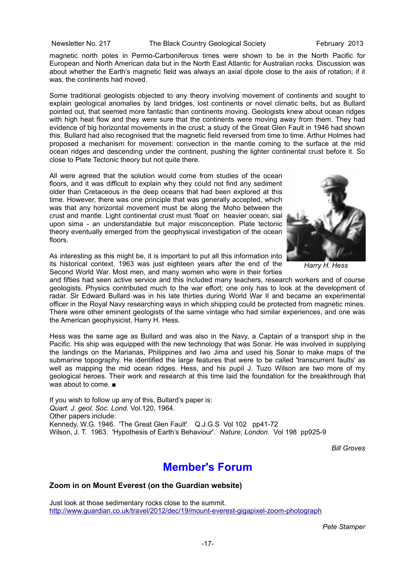magnetic north poles in Permo-Carboniferous times were shown to be in the North Pacific for European and North American data but in the North East Atlantic for Australian rocks. Discussion was about whether the Earth's magnetic field was always an axial dipole close to the axis of rotation; if it was, the continents had moved.

Some traditional geologists objected to any theory involving movement of continents and sought to explain geological anomalies by land bridges, lost continents or novel climatic belts, but as Bullard pointed out, that seemed more fantastic than continents moving. Geologists knew about ocean ridges with high heat flow and they were sure that the continents were moving away from them. They had evidence of big horizontal movements in the crust; a study of the Great Glen Fault in 1946 had shown this. Bullard had also recognised that the magnetic field reversed from time to time. Arthur Holmes had proposed a mechanism for movement: convection in the mantle coming to the surface at the mid ocean ridges and descending under the continent, pushing the lighter continental crust before it. So close to Plate Tectonic theory but not quite there.

All were agreed that the solution would come from studies of the ocean floors, and it was difficult to explain why they could not find any sediment older than Cretaceous in the deep oceans that had been explored at this time. However, there was one principle that was generally accepted, which was that any horizontal movement must be along the Moho between the crust and mantle. Light continental crust must 'float' on heavier ocean; sial upon sima - an understandable but major misconception. Plate tectonic theory eventually emerged from the geophysical investigation of the ocean floors.



*Harry H. Hess*

As interesting as this might be, it is important to put all this information into its historical context. 1963 was just eighteen years after the end of the Second World War. Most men, and many women who were in their forties

and fifties had seen active service and this included many teachers, research workers and of course geologists. Physics contributed much to the war effort; one only has to look at the development of radar. Sir Edward Bullard was in his late thirties during World War II and became an experimental officer in the Royal Navy researching ways in which shipping could be protected from magnetic mines. There were other eminent geologists of the same vintage who had similar experiences, and one was the American geophysicist, Harry H. Hess.

Hess was the same age as Bullard and was also in the Navy, a Captain of a transport ship in the Pacific. His ship was equipped with the new technology that was Sonar. He was involved in supplying the landings on the Marianas, Philippines and Iwo Jima and used his Sonar to make maps of the submarine topography. He identified the large features that were to be called 'transcurrent faults' as well as mapping the mid ocean ridges. Hess, and his pupil J. Tuzo Wilson are two more of my geological heroes. Their work and research at this time laid the foundation for the breakthrough that was about to come. ■

If you wish to follow up any of this, Bullard's paper is: *Quart. J. geol. Soc. Lond.* Vol.120, 1964. Other papers include: Kennedy, W.G. 1946. 'The Great Glen Fault'. Q.J.G.S Vol 102 pp41-72 Wilson, J. T. 1963. 'Hypothesis of Earth's Behaviour'. *Nature, London.* Vol 198 pp925-9

*Bill Groves*

# **Member's Forum**

### **Zoom in on Mount Everest (on the Guardian website)**

Just look at those sedimentary rocks close to the summit. <http://www.guardian.co.uk/travel/2012/dec/19/mount-everest-gigapixel-zoom-photograph>

*Pete Stamper*